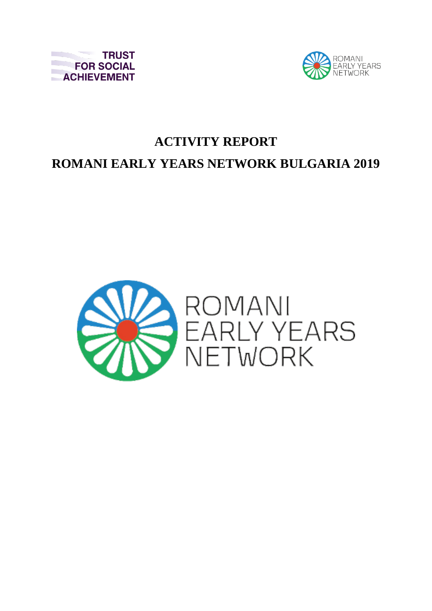



## **ACTIVITY REPORT ROMANI EARLY YEARS NETWORK BULGARIA 2019**

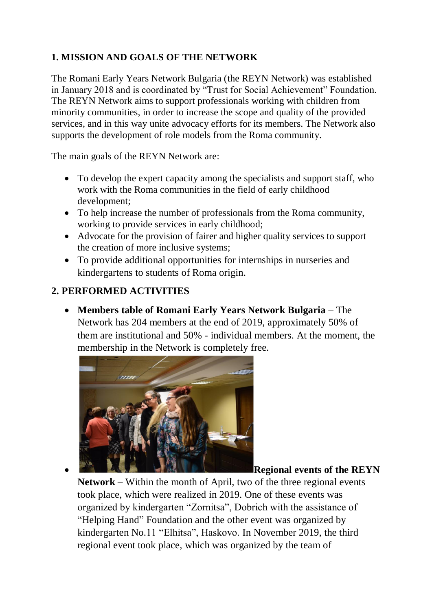## **1. MISSION AND GOALS OF THE NETWORK**

The Romani Early Years Network Bulgaria (the REYN Network) was established in January 2018 and is coordinated by "Trust for Social Achievement" Foundation. The REYN Network aims to support professionals working with children from minority communities, in order to increase the scope and quality of the provided services, and in this way unite advocacy efforts for its members. The Network also supports the development of role models from the Roma community.

The main goals of the REYN Network are:

- To develop the expert capacity among the specialists and support staff, who work with the Roma communities in the field of early childhood development;
- To help increase the number of professionals from the Roma community, working to provide services in early childhood;
- Advocate for the provision of fairer and higher quality services to support the creation of more inclusive systems;
- To provide additional opportunities for internships in nurseries and kindergartens to students of Roma origin.

## **2. PERFORMED ACTIVITIES**

 **Members table of Romani Early Years Network Bulgaria –** The Network has 204 members at the end of 2019, approximately 50% of them are institutional and 50% - individual members. At the moment, the membership in the Network is completely free.



**Regional events of the REYN** 

**Network –** Within the month of April, two of the three regional events took place, which were realized in 2019. One of these events was organized by kindergarten "Zornitsa", Dobrich with the assistance of "Helping Hand" Foundation and the other event was organized by kindergarten No.11 "Elhitsa", Haskovo. In November 2019, the third regional event took place, which was organized by the team of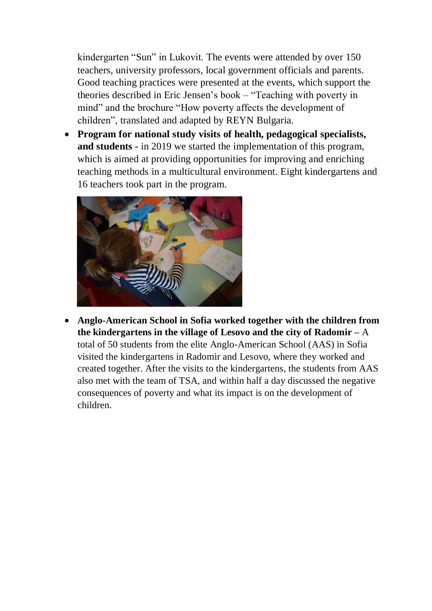kindergarten "Sun" in Lukovit. The events were attended by over 150 teachers, university professors, local government officials and parents. Good teaching practices were presented at the events, which support the theories described in Eric Jensen's book – "Teaching with poverty in mind" and the brochure "How poverty affects the development of children", translated and adapted by REYN Bulgaria.

 **Program for national study visits of health, pedagogical specialists, and students -** in 2019 we started the implementation of this program, which is aimed at providing opportunities for improving and enriching teaching methods in a multicultural environment. Eight kindergartens and 16 teachers took part in the program.



 **Anglo-American School in Sofia worked together with the children from the kindergartens in the village of Lesovo and the city of Radomir –** A

total of 50 students from the elite Anglo-American School (AAS) in Sofia visited the kindergartens in Radomir and Lesovo, where they worked and created together. After the visits to the kindergartens, the students from AAS also met with the team of TSA, and within half a day discussed the negative consequences of poverty and what its impact is on the development of children.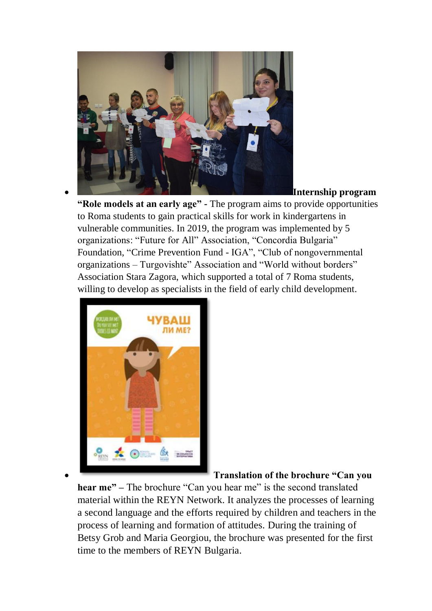

**Internship program** 

**"Role models at an early age" -** The program aims to provide opportunities to Roma students to gain practical skills for work in kindergartens in vulnerable communities. In 2019, the program was implemented by 5 organizations: "Future for All" Association, "Concordia Bulgaria" Foundation, "Crime Prevention Fund - IGA", "Club of nongovernmental organizations – Turgovishte" Association and "World without borders" Association Stara Zagora, which supported a total of 7 Roma students, willing to develop as specialists in the field of early child development.



**Translation of the brochure "Can you** 

**hear me" –** The brochure "Can you hear me" is the second translated material within the REYN Network. It analyzes the processes of learning a second language and the efforts required by children and teachers in the process of learning and formation of attitudes. During the training of Betsy Grob and Maria Georgiou, the brochure was presented for the first time to the members of REYN Bulgaria.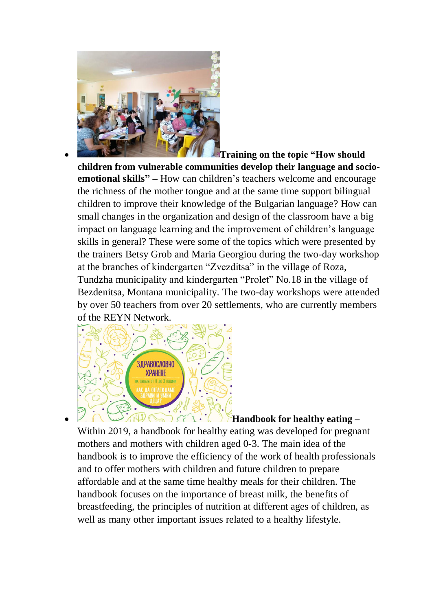

 **Training on the topic "How should children from vulnerable communities develop their language and socioemotional skills" –** How can children's teachers welcome and encourage the richness of the mother tongue and at the same time support bilingual children to improve their knowledge of the Bulgarian language? How can small changes in the organization and design of the classroom have a big impact on language learning and the improvement of children's language skills in general? These were some of the topics which were presented by the trainers Betsy Grob and Maria Georgiou during the two-day workshop at the branches of kindergarten "Zvezditsa" in the village of Roza, Tundzha municipality and kindergarten "Prolet" No.18 in the village of Bezdenitsa, Montana municipality. The two-day workshops were attended by over 50 teachers from over 20 settlements, who are currently members of the REYN Network.



**Handbook for healthy eating –** Within 2019, a handbook for healthy eating was developed for pregnant mothers and mothers with children aged 0-3. The main idea of the handbook is to improve the efficiency of the work of health professionals and to offer mothers with children and future children to prepare affordable and at the same time healthy meals for their children. The handbook focuses on the importance of breast milk, the benefits of breastfeeding, the principles of nutrition at different ages of children, as well as many other important issues related to a healthy lifestyle.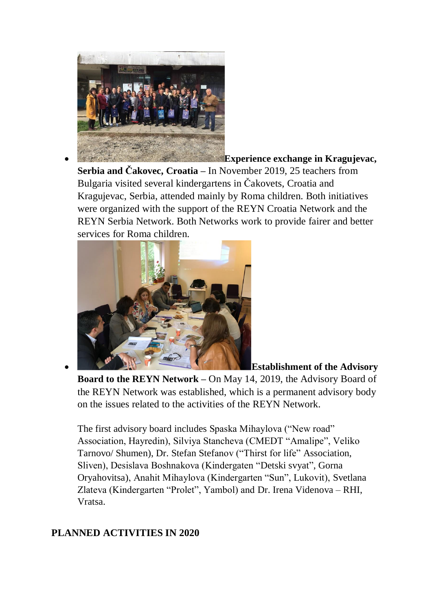

**Experience exchange in Kragujevac,** 

**Serbia and Čakovec, Croatia –** In November 2019, 25 teachers from Bulgaria visited several kindergartens in Čakovets, Croatia and Kragujevac, Serbia, attended mainly by Roma children. Both initiatives were organized with the support of the REYN Croatia Network and the REYN Serbia Network. Both Networks work to provide fairer and better services for Roma children.



**Establishment of the Advisory** 

**Board to the REYN Network –** On May 14, 2019, the Advisory Board of the REYN Network was established, which is a permanent advisory body on the issues related to the activities of the REYN Network.

The first advisory board includes Spaska Mihaylova ("New road" Association, Hayredin), Silviya Stancheva (CMEDT "Amalipe", Veliko Tarnovo/ Shumen), Dr. Stefan Stefanov ("Thirst for life" Association, Sliven), Desislava Boshnakova (Kindergaten "Detski svyat", Gorna Oryahovitsa), Anahit Mihaylova (Kindergarten "Sun", Lukovit), Svetlana Zlateva (Kindergarten "Prolet", Yambol) and Dr. Irena Videnova – RHI, Vratsa.

## **PLANNED ACTIVITIES IN 2020**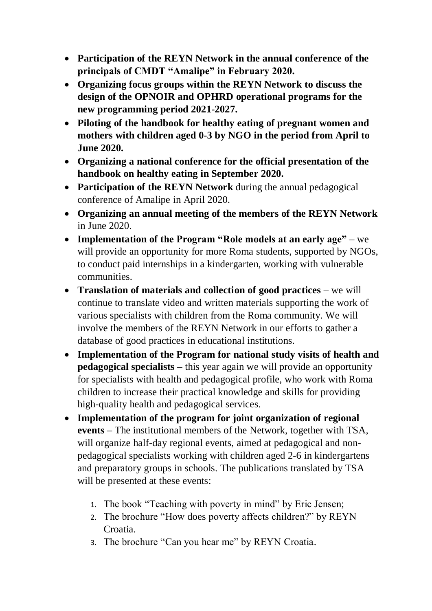- **Participation of the REYN Network in the annual conference of the principals of CMDT "Amalipe" in February 2020.**
- **Organizing focus groups within the REYN Network to discuss the design of the OPNOIR and OPHRD operational programs for the new programming period 2021-2027.**
- **Piloting of the handbook for healthy eating of pregnant women and mothers with children aged 0-3 by NGO in the period from April to June 2020.**
- **Organizing a national conference for the official presentation of the handbook on healthy eating in September 2020.**
- **Participation of the REYN Network** during the annual pedagogical conference of Amalipe in April 2020.
- **Organizing an annual meeting of the members of the REYN Network**  in June 2020.
- **Implementation of the Program "Role models at an early age" –** we will provide an opportunity for more Roma students, supported by NGOs, to conduct paid internships in a kindergarten, working with vulnerable communities.
- **Translation of materials and collection of good practices –** we will continue to translate video and written materials supporting the work of various specialists with children from the Roma community. We will involve the members of the REYN Network in our efforts to gather a database of good practices in educational institutions.
- **Implementation of the Program for national study visits of health and pedagogical specialists –** this year again we will provide an opportunity for specialists with health and pedagogical profile, who work with Roma children to increase their practical knowledge and skills for providing high-quality health and pedagogical services.
- **Implementation of the program for joint organization of regional events –** The institutional members of the Network, together with TSA, will organize half-day regional events, aimed at pedagogical and nonpedagogical specialists working with children aged 2-6 in kindergartens and preparatory groups in schools. The publications translated by TSA will be presented at these events:
	- 1. The book "Teaching with poverty in mind" by Eric Jensen;
	- 2. The brochure "How does poverty affects children?" by REYN Croatia.
	- 3. The brochure "Can you hear me" by REYN Croatia.